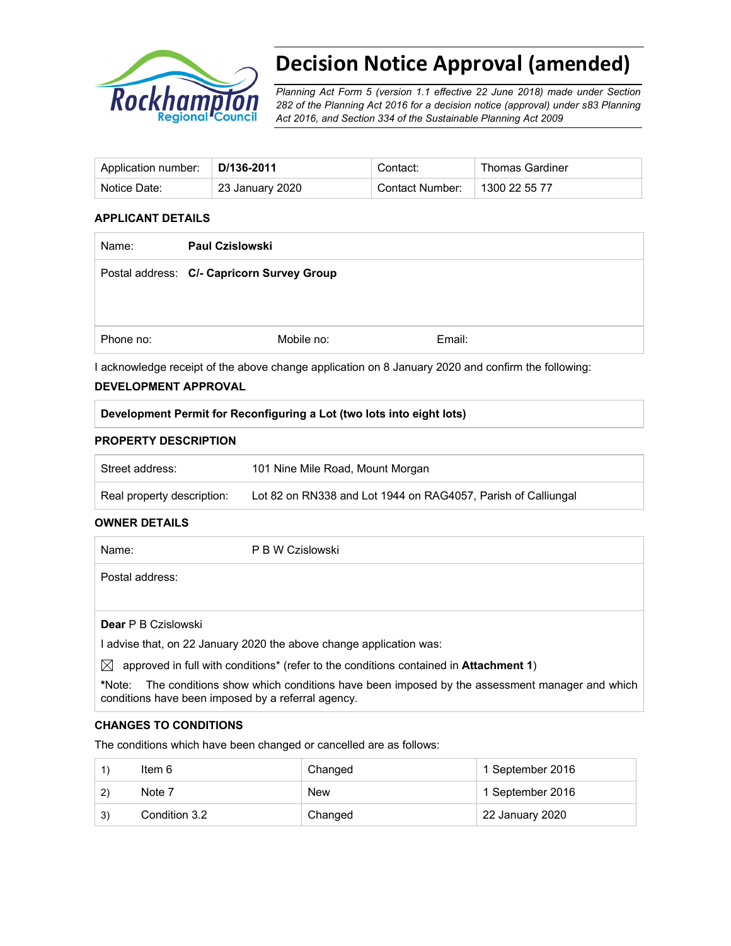

# **Decision Notice Approval (amended)**

*Planning Act Form 5 (version 1.1 effective 22 June 2018) made under Section 282 of the Planning Act 2016 for a decision notice (approval) under s83 Planning Act 2016, and Section 334 of the Sustainable Planning Act 2009*

| Application number: | D/136-2011      | Contact:        | <b>Thomas Gardiner</b> |
|---------------------|-----------------|-----------------|------------------------|
| Notice Date:        | 23 January 2020 | Contact Number: | 1300 22 55 77          |

# **APPLICANT DETAILS**

| Name:     | <b>Paul Czislowski</b>                     |        |
|-----------|--------------------------------------------|--------|
|           | Postal address: C/- Capricorn Survey Group |        |
|           |                                            |        |
|           |                                            |        |
| Phone no: | Mobile no:                                 | Email: |
|           |                                            |        |

I acknowledge receipt of the above change application on 8 January 2020 and confirm the following:

#### **DEVELOPMENT APPROVAL**

# **Development Permit for Reconfiguring a Lot (two lots into eight lots)**

#### **PROPERTY DESCRIPTION**

| Street address:            | 101 Nine Mile Road, Mount Morgan                              |
|----------------------------|---------------------------------------------------------------|
| Real property description: | Lot 82 on RN338 and Lot 1944 on RAG4057, Parish of Calliungal |

#### **OWNER DETAILS**

| Name:                      | P B W Czislowski                                                                             |
|----------------------------|----------------------------------------------------------------------------------------------|
| Postal address:            |                                                                                              |
|                            |                                                                                              |
| <b>Dear</b> P B Czislowski |                                                                                              |
|                            | I advise that, on 22 January 2020 the above change application was:                          |
| $\bowtie$                  | approved in full with conditions* (refer to the conditions contained in <b>Attachment 1)</b> |

**\***Note:The conditions show which conditions have been imposed by the assessment manager and which conditions have been imposed by a referral agency.

#### **CHANGES TO CONDITIONS**

The conditions which have been changed or cancelled are as follows:

|    | ltem 6        | Changed    | 1 September 2016 |
|----|---------------|------------|------------------|
|    | Note 7        | <b>New</b> | 1 September 2016 |
| 3) | Condition 3.2 | Changed    | 22 January 2020  |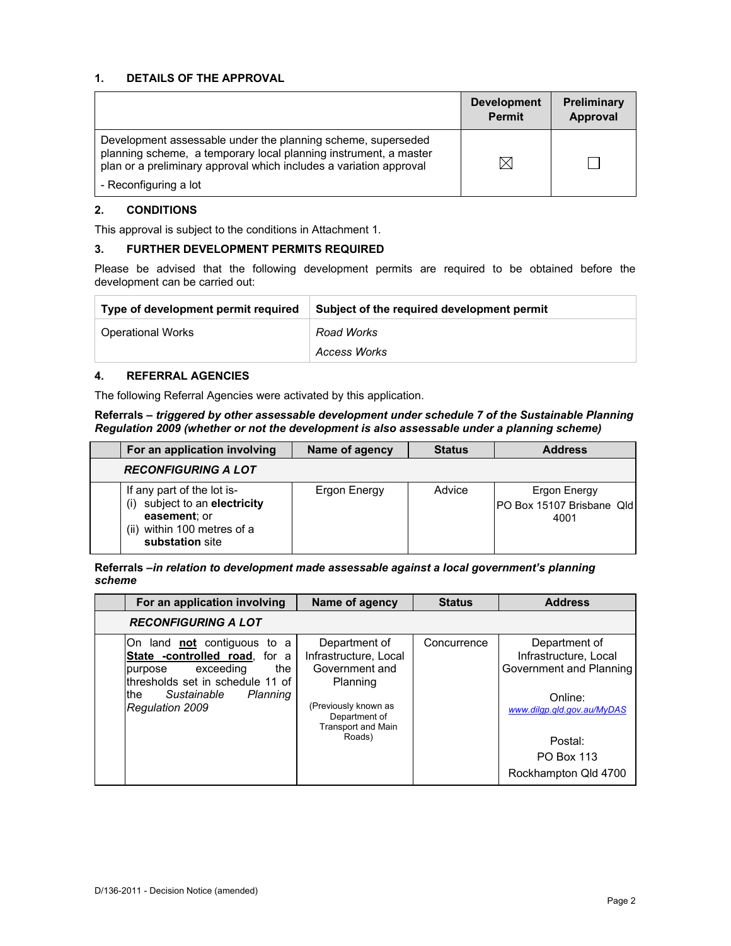### **1. DETAILS OF THE APPROVAL**

|                                                                                                                                                                                                        | <b>Development</b><br><b>Permit</b> | <b>Preliminary</b><br>Approval |
|--------------------------------------------------------------------------------------------------------------------------------------------------------------------------------------------------------|-------------------------------------|--------------------------------|
| Development assessable under the planning scheme, superseded<br>planning scheme, a temporary local planning instrument, a master<br>plan or a preliminary approval which includes a variation approval | ⋉                                   |                                |
| - Reconfiguring a lot                                                                                                                                                                                  |                                     |                                |

#### **2. CONDITIONS**

This approval is subject to the conditions in Attachment 1.

#### **3. FURTHER DEVELOPMENT PERMITS REQUIRED**

Please be advised that the following development permits are required to be obtained before the development can be carried out:

| Type of development permit required | Subject of the required development permit |
|-------------------------------------|--------------------------------------------|
| <b>Operational Works</b>            | Road Works                                 |
|                                     | Access Works                               |

#### **4. REFERRAL AGENCIES**

The following Referral Agencies were activated by this application.

#### **Referrals** *– triggered by other assessable development under schedule 7 of the Sustainable Planning Regulation 2009 (whether or not the development is also assessable under a planning scheme)*

| For an application involving                                                                                                     | Name of agency | <b>Status</b> | <b>Address</b>                                            |
|----------------------------------------------------------------------------------------------------------------------------------|----------------|---------------|-----------------------------------------------------------|
| <b>RECONFIGURING A LOT</b>                                                                                                       |                |               |                                                           |
| If any part of the lot is-<br>subject to an electricity<br>(i)<br>easement; or<br>(ii) within 100 metres of a<br>substation site | Ergon Energy   | Advice        | Ergon Energy<br><b>IPO Box 15107 Brisbane Qld</b><br>4001 |

#### **Referrals** *–in relation to development made assessable against a local government's planning scheme*

| For an application involving                                                                                                                                                                 | Name of agency                                                                                                                                       | <b>Status</b> | <b>Address</b>                                                                                                                                                     |
|----------------------------------------------------------------------------------------------------------------------------------------------------------------------------------------------|------------------------------------------------------------------------------------------------------------------------------------------------------|---------------|--------------------------------------------------------------------------------------------------------------------------------------------------------------------|
| <b>RECONFIGURING A LOT</b>                                                                                                                                                                   |                                                                                                                                                      |               |                                                                                                                                                                    |
| On land not contiguous to a<br>State -controlled road, for a<br>the<br>exceeding<br>purpose<br>thresholds set in schedule 11 of<br>Planning<br>Sustainable<br>lthe<br><b>Regulation 2009</b> | Department of<br>Infrastructure, Local<br>Government and<br>Planning<br>(Previously known as<br>Department of<br><b>Transport and Main</b><br>Roads) | Concurrence   | Department of<br>Infrastructure, Local<br>Government and Planning<br>Online:<br>www.dilgp.gld.gov.au/MyDAS<br>Postal:<br><b>PO Box 113</b><br>Rockhampton Qld 4700 |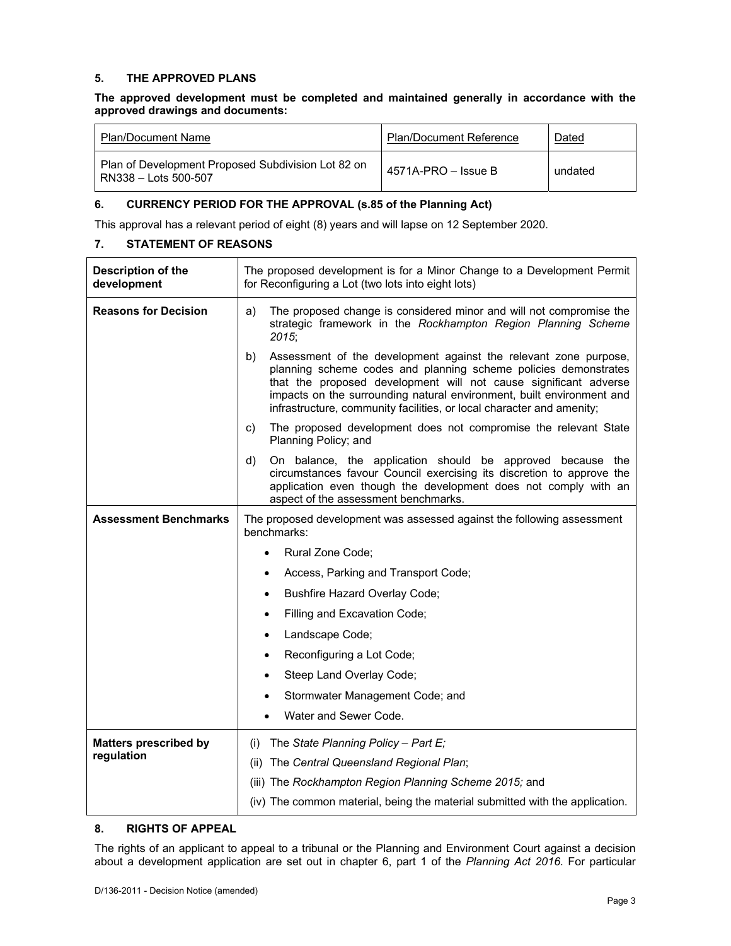### **5. THE APPROVED PLANS**

#### **The approved development must be completed and maintained generally in accordance with the approved drawings and documents:**

| <b>Plan/Document Name</b>                                                  | <b>Plan/Document Reference</b> | <u>Dated</u> |
|----------------------------------------------------------------------------|--------------------------------|--------------|
| Plan of Development Proposed Subdivision Lot 82 on<br>RN338 - Lots 500-507 | $4571A-PRO - Issue B$          | undated      |

#### **6. CURRENCY PERIOD FOR THE APPROVAL (s.85 of the Planning Act)**

This approval has a relevant period of eight (8) years and will lapse on 12 September 2020.

#### **7. STATEMENT OF REASONS**

| Description of the<br>development | The proposed development is for a Minor Change to a Development Permit<br>for Reconfiguring a Lot (two lots into eight lots)                                                                                                                                                                                                                                    |
|-----------------------------------|-----------------------------------------------------------------------------------------------------------------------------------------------------------------------------------------------------------------------------------------------------------------------------------------------------------------------------------------------------------------|
| <b>Reasons for Decision</b>       | a)<br>The proposed change is considered minor and will not compromise the<br>strategic framework in the Rockhampton Region Planning Scheme<br>2015;                                                                                                                                                                                                             |
|                                   | b)<br>Assessment of the development against the relevant zone purpose,<br>planning scheme codes and planning scheme policies demonstrates<br>that the proposed development will not cause significant adverse<br>impacts on the surrounding natural environment, built environment and<br>infrastructure, community facilities, or local character and amenity; |
|                                   | The proposed development does not compromise the relevant State<br>c)<br>Planning Policy; and                                                                                                                                                                                                                                                                   |
|                                   | d)<br>On balance, the application should be approved because the<br>circumstances favour Council exercising its discretion to approve the<br>application even though the development does not comply with an<br>aspect of the assessment benchmarks.                                                                                                            |
| <b>Assessment Benchmarks</b>      | The proposed development was assessed against the following assessment<br>benchmarks:                                                                                                                                                                                                                                                                           |
|                                   | Rural Zone Code;<br>$\bullet$                                                                                                                                                                                                                                                                                                                                   |
|                                   | Access, Parking and Transport Code;<br>٠                                                                                                                                                                                                                                                                                                                        |
|                                   | Bushfire Hazard Overlay Code;                                                                                                                                                                                                                                                                                                                                   |
|                                   | Filling and Excavation Code;<br>$\bullet$                                                                                                                                                                                                                                                                                                                       |
|                                   | Landscape Code;<br>٠                                                                                                                                                                                                                                                                                                                                            |
|                                   | Reconfiguring a Lot Code;<br>$\bullet$                                                                                                                                                                                                                                                                                                                          |
|                                   | Steep Land Overlay Code;<br>٠                                                                                                                                                                                                                                                                                                                                   |
|                                   | Stormwater Management Code; and<br>٠                                                                                                                                                                                                                                                                                                                            |
|                                   | Water and Sewer Code.                                                                                                                                                                                                                                                                                                                                           |
| <b>Matters prescribed by</b>      | The State Planning Policy - Part E;<br>(i)                                                                                                                                                                                                                                                                                                                      |
| regulation                        | The Central Queensland Regional Plan;<br>(ii)                                                                                                                                                                                                                                                                                                                   |
|                                   | (iii) The Rockhampton Region Planning Scheme 2015; and                                                                                                                                                                                                                                                                                                          |
|                                   | (iv) The common material, being the material submitted with the application.                                                                                                                                                                                                                                                                                    |
|                                   |                                                                                                                                                                                                                                                                                                                                                                 |

#### **8. RIGHTS OF APPEAL**

The rights of an applicant to appeal to a tribunal or the Planning and Environment Court against a decision about a development application are set out in chapter 6, part 1 of the *Planning Act 2016*. For particular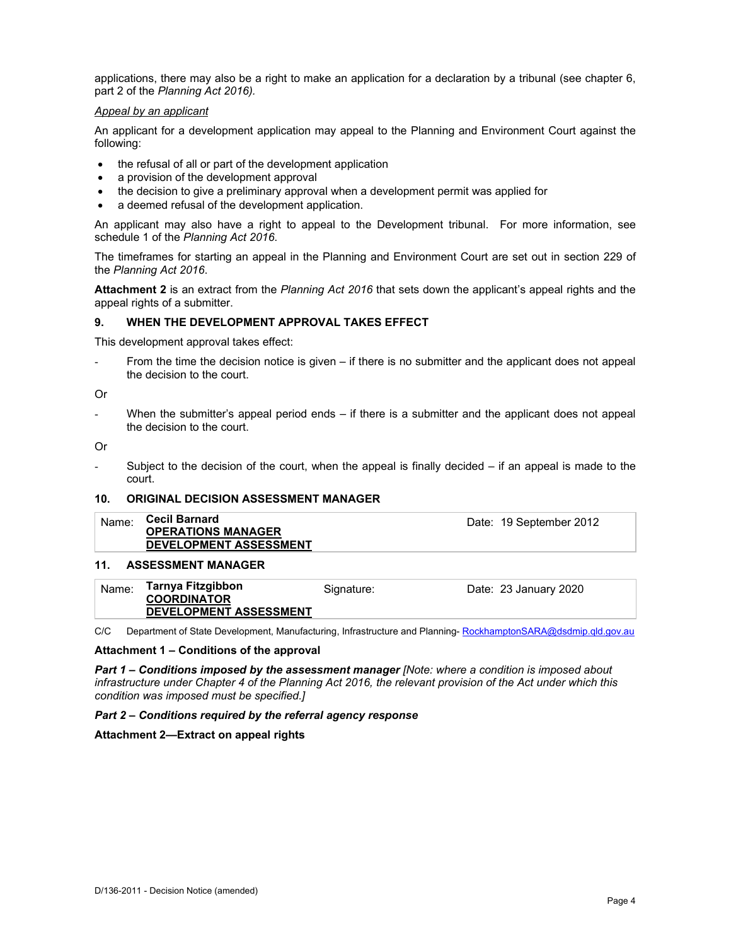applications, there may also be a right to make an application for a declaration by a tribunal (see chapter 6, part 2 of the *Planning Act 2016).*

#### *Appeal by an applicant*

An applicant for a development application may appeal to the Planning and Environment Court against the following:

- the refusal of all or part of the development application
- a provision of the development approval
- the decision to give a preliminary approval when a development permit was applied for
- a deemed refusal of the development application.

An applicant may also have a right to appeal to the Development tribunal. For more information, see schedule 1 of the *Planning Act 2016*.

The timeframes for starting an appeal in the Planning and Environment Court are set out in section 229 of the *Planning Act 2016*.

**Attachment 2** is an extract from the *Planning Act 2016* that sets down the applicant's appeal rights and the appeal rights of a submitter.

#### **9. WHEN THE DEVELOPMENT APPROVAL TAKES EFFECT**

This development approval takes effect:

From the time the decision notice is given – if there is no submitter and the applicant does not appeal the decision to the court.

Or

When the submitter's appeal period ends  $-$  if there is a submitter and the applicant does not appeal the decision to the court.

Or

Subject to the decision of the court, when the appeal is finally decided  $-$  if an appeal is made to the court.

#### **10. ORIGINAL DECISION ASSESSMENT MANAGER**

| <b>Cecil Barnard</b><br>Name:<br>Date: 19 September 2012<br><b>OPERATIONS MANAGER</b><br>DEVELOPMENT ASSESSMENT |
|-----------------------------------------------------------------------------------------------------------------|
|-----------------------------------------------------------------------------------------------------------------|

#### **11. ASSESSMENT MANAGER**

| Name: | Tarnya Fitzgibbon<br><b>COORDINATOR</b> | Signature: | Date: 23 January 2020 |
|-------|-----------------------------------------|------------|-----------------------|
|       | <b>DEVELOPMENT ASSESSMENT</b>           |            |                       |

C/C Department of State Development, Manufacturing, Infrastructure and Planning- RockhamptonSARA@dsdmip.qld.gov.au

#### **Attachment 1 – Conditions of the approval**

*Part 1* **–** *Conditions imposed by the assessment manager [Note: where a condition is imposed about infrastructure under Chapter 4 of the Planning Act 2016, the relevant provision of the Act under which this condition was imposed must be specified.]*

#### *Part 2 – Conditions required by the referral agency response*

**Attachment 2—Extract on appeal rights**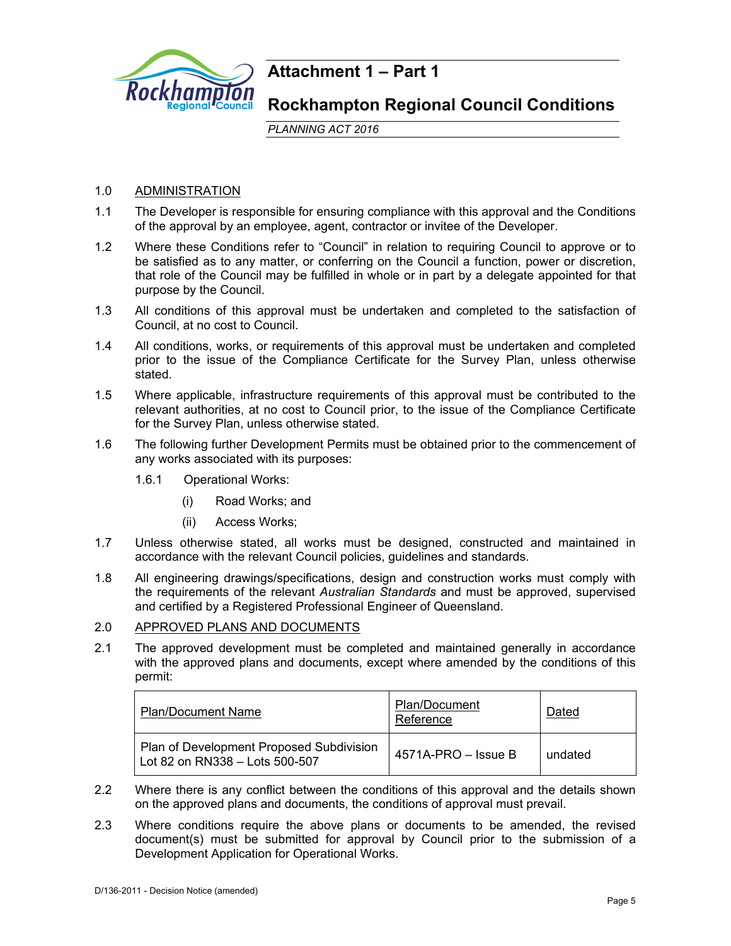

# **Attachment 1 – Part 1**

# **Rockhampton Regional Council Conditions**

*PLANNING ACT 2016*

# 1.0 ADMINISTRATION

- 1.1 The Developer is responsible for ensuring compliance with this approval and the Conditions of the approval by an employee, agent, contractor or invitee of the Developer.
- 1.2 Where these Conditions refer to "Council" in relation to requiring Council to approve or to be satisfied as to any matter, or conferring on the Council a function, power or discretion, that role of the Council may be fulfilled in whole or in part by a delegate appointed for that purpose by the Council.
- 1.3 All conditions of this approval must be undertaken and completed to the satisfaction of Council, at no cost to Council.
- 1.4 All conditions, works, or requirements of this approval must be undertaken and completed prior to the issue of the Compliance Certificate for the Survey Plan, unless otherwise stated.
- 1.5 Where applicable, infrastructure requirements of this approval must be contributed to the relevant authorities, at no cost to Council prior, to the issue of the Compliance Certificate for the Survey Plan, unless otherwise stated.
- 1.6 The following further Development Permits must be obtained prior to the commencement of any works associated with its purposes:
	- 1.6.1 Operational Works:
		- (i) Road Works; and
		- (ii) Access Works;
- 1.7 Unless otherwise stated, all works must be designed, constructed and maintained in accordance with the relevant Council policies, guidelines and standards.
- 1.8 All engineering drawings/specifications, design and construction works must comply with the requirements of the relevant *Australian Standards* and must be approved, supervised and certified by a Registered Professional Engineer of Queensland.
- 2.0 APPROVED PLANS AND DOCUMENTS
- 2.1 The approved development must be completed and maintained generally in accordance with the approved plans and documents, except where amended by the conditions of this permit:

| <b>Plan/Document Name</b>                                                  | Plan/Document<br>Reference | Dated   |
|----------------------------------------------------------------------------|----------------------------|---------|
| Plan of Development Proposed Subdivision<br>Lot 82 on RN338 - Lots 500-507 | $4571A-PRO - Issue B$      | undated |

- 2.2 Where there is any conflict between the conditions of this approval and the details shown on the approved plans and documents, the conditions of approval must prevail.
- 2.3 Where conditions require the above plans or documents to be amended, the revised document(s) must be submitted for approval by Council prior to the submission of a Development Application for Operational Works.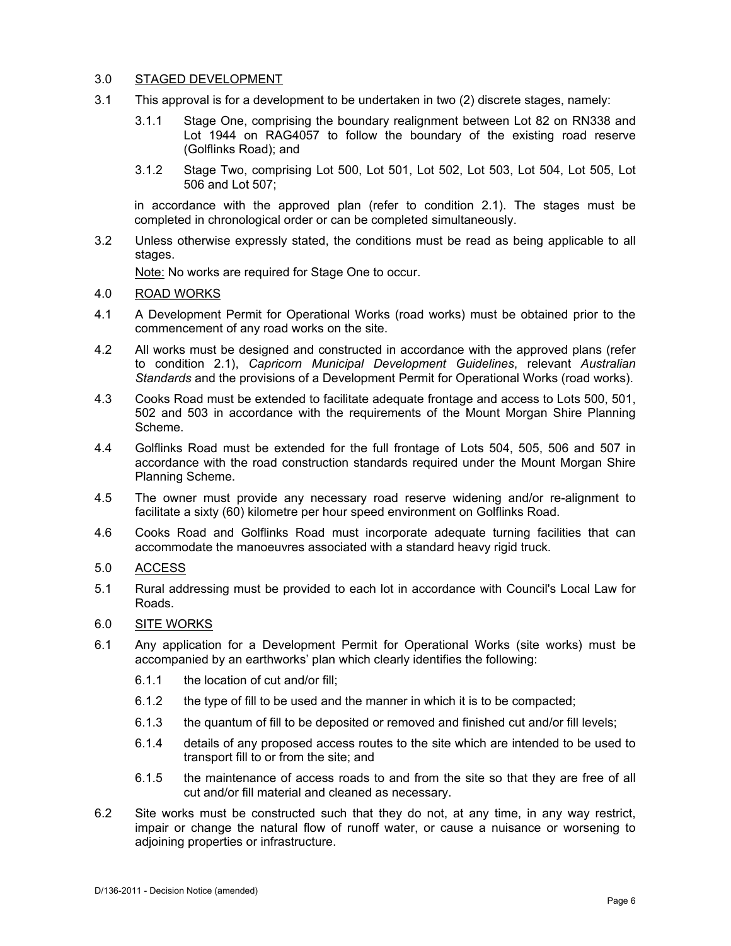# 3.0 STAGED DEVELOPMENT

- 3.1 This approval is for a development to be undertaken in two (2) discrete stages, namely:
	- 3.1.1 Stage One, comprising the boundary realignment between Lot 82 on RN338 and Lot 1944 on RAG4057 to follow the boundary of the existing road reserve (Golflinks Road); and
	- 3.1.2 Stage Two, comprising Lot 500, Lot 501, Lot 502, Lot 503, Lot 504, Lot 505, Lot 506 and Lot 507;

in accordance with the approved plan (refer to condition 2.1). The stages must be completed in chronological order or can be completed simultaneously.

3.2 Unless otherwise expressly stated, the conditions must be read as being applicable to all stages.

Note: No works are required for Stage One to occur.

- 4.0 ROAD WORKS
- 4.1 A Development Permit for Operational Works (road works) must be obtained prior to the commencement of any road works on the site.
- 4.2 All works must be designed and constructed in accordance with the approved plans (refer to condition 2.1), *Capricorn Municipal Development Guidelines*, relevant *Australian Standards* and the provisions of a Development Permit for Operational Works (road works).
- 4.3 Cooks Road must be extended to facilitate adequate frontage and access to Lots 500, 501, 502 and 503 in accordance with the requirements of the Mount Morgan Shire Planning Scheme.
- 4.4 Golflinks Road must be extended for the full frontage of Lots 504, 505, 506 and 507 in accordance with the road construction standards required under the Mount Morgan Shire Planning Scheme.
- 4.5 The owner must provide any necessary road reserve widening and/or re-alignment to facilitate a sixty (60) kilometre per hour speed environment on Golflinks Road.
- 4.6 Cooks Road and Golflinks Road must incorporate adequate turning facilities that can accommodate the manoeuvres associated with a standard heavy rigid truck.

#### 5.0 ACCESS

5.1 Rural addressing must be provided to each lot in accordance with Council's Local Law for Roads.

#### 6.0 SITE WORKS

- 6.1 Any application for a Development Permit for Operational Works (site works) must be accompanied by an earthworks' plan which clearly identifies the following:
	- 6.1.1 the location of cut and/or fill;
	- 6.1.2 the type of fill to be used and the manner in which it is to be compacted;
	- 6.1.3 the quantum of fill to be deposited or removed and finished cut and/or fill levels;
	- 6.1.4 details of any proposed access routes to the site which are intended to be used to transport fill to or from the site; and
	- 6.1.5 the maintenance of access roads to and from the site so that they are free of all cut and/or fill material and cleaned as necessary.
- 6.2 Site works must be constructed such that they do not, at any time, in any way restrict, impair or change the natural flow of runoff water, or cause a nuisance or worsening to adjoining properties or infrastructure.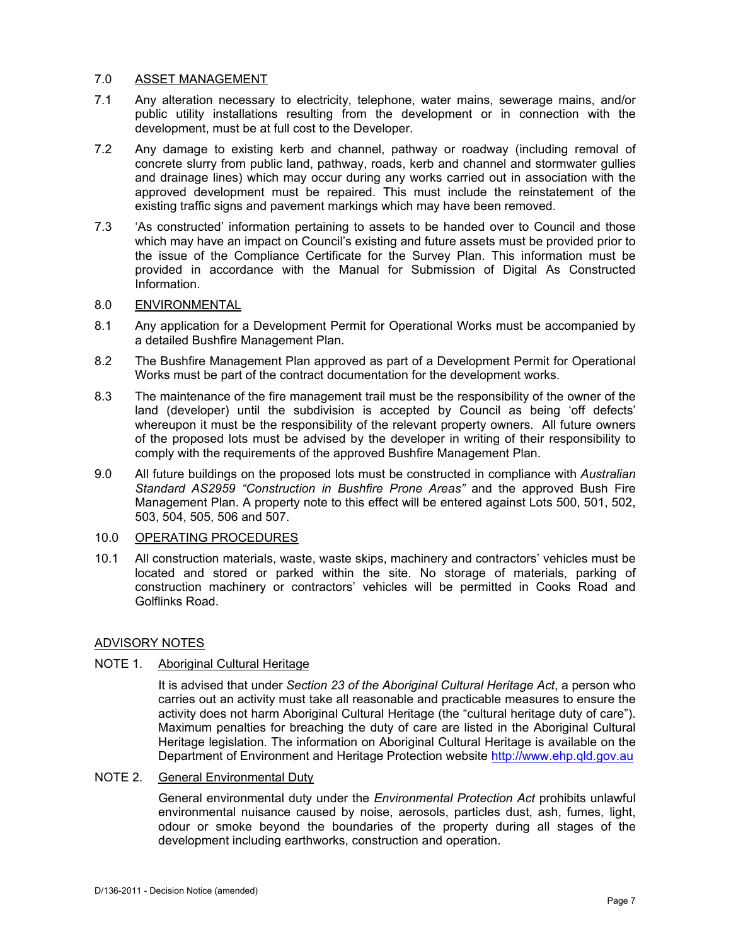# 7.0 ASSET MANAGEMENT

- 7.1 Any alteration necessary to electricity, telephone, water mains, sewerage mains, and/or public utility installations resulting from the development or in connection with the development, must be at full cost to the Developer.
- 7.2 Any damage to existing kerb and channel, pathway or roadway (including removal of concrete slurry from public land, pathway, roads, kerb and channel and stormwater gullies and drainage lines) which may occur during any works carried out in association with the approved development must be repaired. This must include the reinstatement of the existing traffic signs and pavement markings which may have been removed.
- 7.3 'As constructed' information pertaining to assets to be handed over to Council and those which may have an impact on Council's existing and future assets must be provided prior to the issue of the Compliance Certificate for the Survey Plan. This information must be provided in accordance with the Manual for Submission of Digital As Constructed Information.

# 8.0 ENVIRONMENTAL

- 8.1 Any application for a Development Permit for Operational Works must be accompanied by a detailed Bushfire Management Plan.
- 8.2 The Bushfire Management Plan approved as part of a Development Permit for Operational Works must be part of the contract documentation for the development works.
- 8.3 The maintenance of the fire management trail must be the responsibility of the owner of the land (developer) until the subdivision is accepted by Council as being 'off defects' whereupon it must be the responsibility of the relevant property owners. All future owners of the proposed lots must be advised by the developer in writing of their responsibility to comply with the requirements of the approved Bushfire Management Plan.
- 9.0 All future buildings on the proposed lots must be constructed in compliance with *Australian Standard AS2959 "Construction in Bushfire Prone Areas"* and the approved Bush Fire Management Plan. A property note to this effect will be entered against Lots 500, 501, 502, 503, 504, 505, 506 and 507.

#### 10.0 OPERATING PROCEDURES

10.1 All construction materials, waste, waste skips, machinery and contractors' vehicles must be located and stored or parked within the site. No storage of materials, parking of construction machinery or contractors' vehicles will be permitted in Cooks Road and Golflinks Road.

# ADVISORY NOTES

# NOTE 1. Aboriginal Cultural Heritage

It is advised that under *Section 23 of the Aboriginal Cultural Heritage Act*, a person who carries out an activity must take all reasonable and practicable measures to ensure the activity does not harm Aboriginal Cultural Heritage (the "cultural heritage duty of care"). Maximum penalties for breaching the duty of care are listed in the Aboriginal Cultural Heritage legislation. The information on Aboriginal Cultural Heritage is available on the Department of Environment and Heritage Protection website http://www.ehp.qld.gov.au

# NOTE 2. General Environmental Duty

General environmental duty under the *Environmental Protection Act* prohibits unlawful environmental nuisance caused by noise, aerosols, particles dust, ash, fumes, light, odour or smoke beyond the boundaries of the property during all stages of the development including earthworks, construction and operation.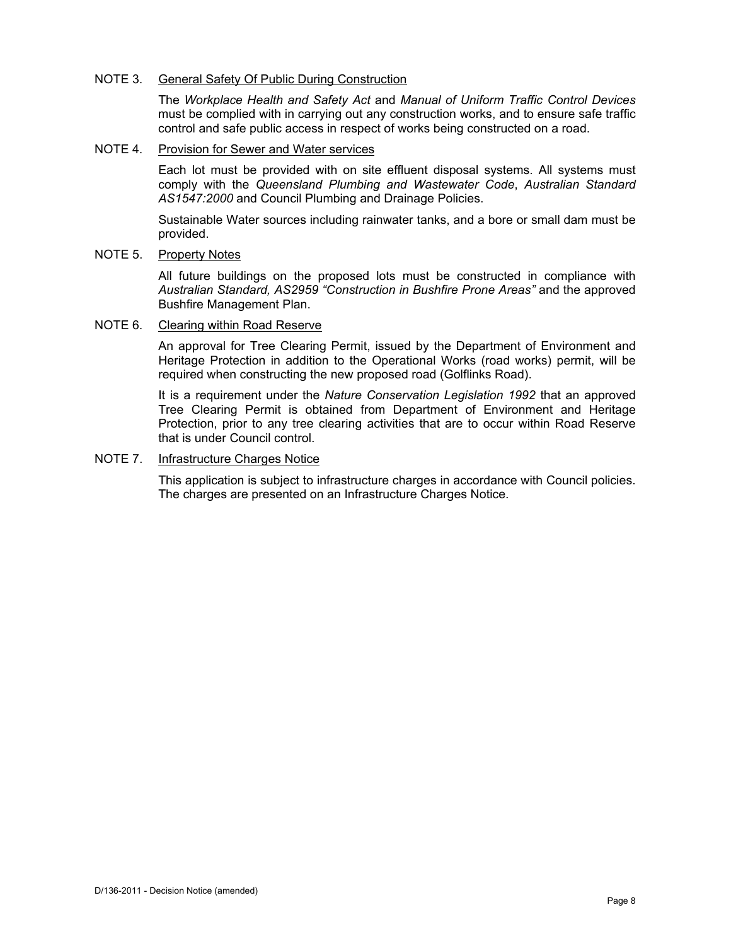#### NOTE 3. General Safety Of Public During Construction

The *Workplace Health and Safety Act* and *Manual of Uniform Traffic Control Devices* must be complied with in carrying out any construction works, and to ensure safe traffic control and safe public access in respect of works being constructed on a road.

#### NOTE 4. Provision for Sewer and Water services

Each lot must be provided with on site effluent disposal systems. All systems must comply with the *Queensland Plumbing and Wastewater Code*, *Australian Standard AS1547:2000* and Council Plumbing and Drainage Policies.

Sustainable Water sources including rainwater tanks, and a bore or small dam must be provided.

# NOTE 5. Property Notes

All future buildings on the proposed lots must be constructed in compliance with *Australian Standard, AS2959 "Construction in Bushfire Prone Areas"* and the approved Bushfire Management Plan.

# NOTE 6. Clearing within Road Reserve

An approval for Tree Clearing Permit, issued by the Department of Environment and Heritage Protection in addition to the Operational Works (road works) permit, will be required when constructing the new proposed road (Golflinks Road).

It is a requirement under the *Nature Conservation Legislation 1992* that an approved Tree Clearing Permit is obtained from Department of Environment and Heritage Protection, prior to any tree clearing activities that are to occur within Road Reserve that is under Council control.

# NOTE 7. Infrastructure Charges Notice

This application is subject to infrastructure charges in accordance with Council policies. The charges are presented on an Infrastructure Charges Notice.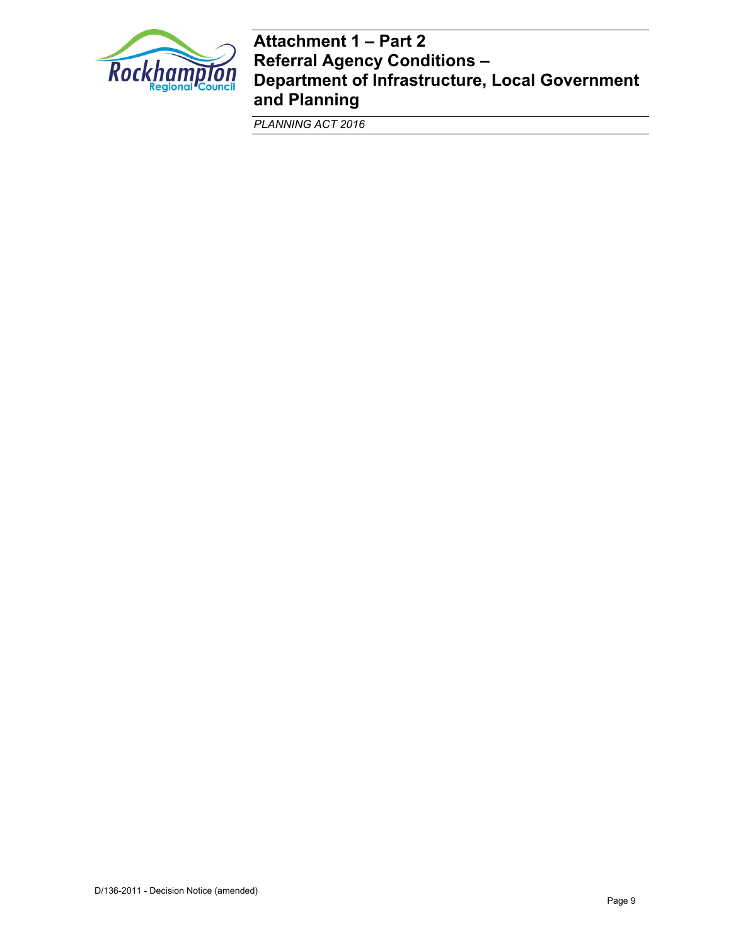

# **Attachment 1 – Part 2 Referral Agency Conditions – Department of Infrastructure, Local Government and Planning**

*PLANNING ACT 2016*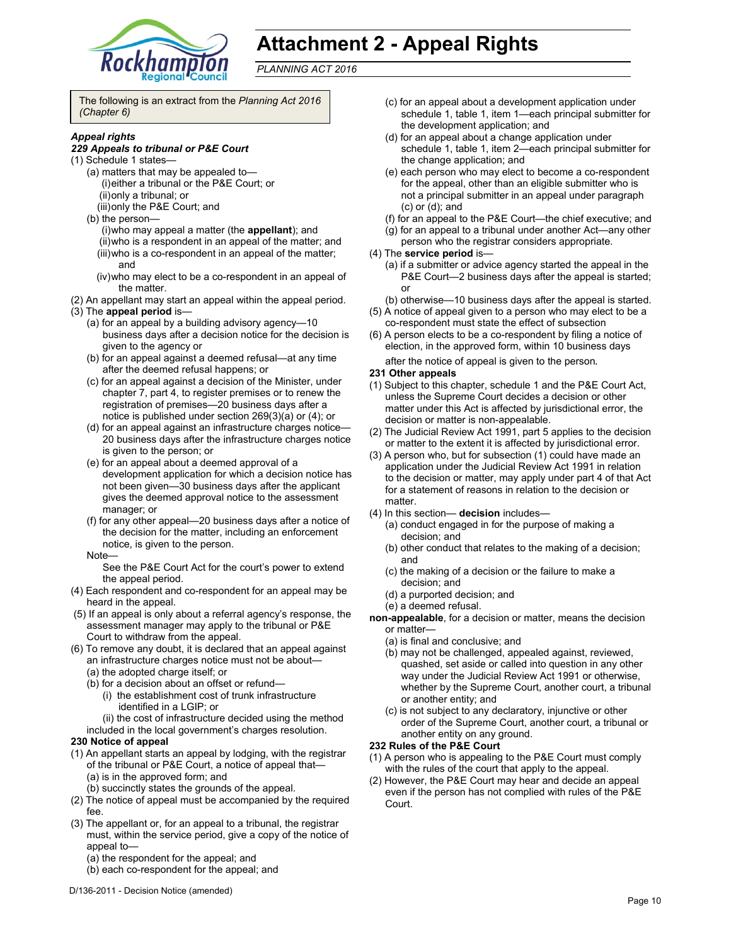

# **Attachment 2 - Appeal Rights**

*PLANNING ACT 2016*

The following is an extract from the *Planning Act 2016 (Chapter 6)* 

#### *Appeal rights*

#### *229 Appeals to tribunal or P&E Court*

- (1) Schedule 1 states—
	- (a) matters that may be appealed to— (i) either a tribunal or the P&E Court; or (ii) only a tribunal; or
		- (iii) only the P&E Court; and
	- (b) the person—
		- (i) who may appeal a matter (the **appellant**); and (ii) who is a respondent in an appeal of the matter; and (iii) who is a co-respondent in an appeal of the matter; and
		- (iv) who may elect to be a co-respondent in an appeal of the matter.
- (2) An appellant may start an appeal within the appeal period.
- (3) The **appeal period** is—
	- (a) for an appeal by a building advisory agency—10 business days after a decision notice for the decision is given to the agency or
	- (b) for an appeal against a deemed refusal—at any time after the deemed refusal happens; or
	- (c) for an appeal against a decision of the Minister, under chapter 7, part 4, to register premises or to renew the registration of premises—20 business days after a notice is published under section 269(3)(a) or (4); or
	- (d) for an appeal against an infrastructure charges notice— 20 business days after the infrastructure charges notice is given to the person; or
	- (e) for an appeal about a deemed approval of a development application for which a decision notice has not been given—30 business days after the applicant gives the deemed approval notice to the assessment manager; or
	- (f) for any other appeal—20 business days after a notice of the decision for the matter, including an enforcement notice, is given to the person.
	- Note—
		- See the P&E Court Act for the court's power to extend the appeal period.
- (4) Each respondent and co-respondent for an appeal may be heard in the appeal.
- (5) If an appeal is only about a referral agency's response, the assessment manager may apply to the tribunal or P&E Court to withdraw from the appeal.
- (6) To remove any doubt, it is declared that an appeal against an infrastructure charges notice must not be about—
	- (a) the adopted charge itself; or
	- (b) for a decision about an offset or refund—
		- (i) the establishment cost of trunk infrastructure identified in a LGIP; or
	- (ii) the cost of infrastructure decided using the method included in the local government's charges resolution.

#### **230 Notice of appeal**

- (1) An appellant starts an appeal by lodging, with the registrar of the tribunal or P&E Court, a notice of appeal that— (a) is in the approved form; and
	- (b) succinctly states the grounds of the appeal.
- (2) The notice of appeal must be accompanied by the required fee.
- (3) The appellant or, for an appeal to a tribunal, the registrar must, within the service period, give a copy of the notice of appeal to—
	- (a) the respondent for the appeal; and
	- (b) each co-respondent for the appeal; and
- (c) for an appeal about a development application under schedule 1, table 1, item 1—each principal submitter for the development application; and
- (d) for an appeal about a change application under schedule 1, table 1, item 2—each principal submitter for the change application; and
- (e) each person who may elect to become a co-respondent for the appeal, other than an eligible submitter who is not a principal submitter in an appeal under paragraph (c) or (d); and
- (f) for an appeal to the P&E Court—the chief executive; and
- (g) for an appeal to a tribunal under another Act—any other
- person who the registrar considers appropriate.
- (4) The **service period** is—
	- (a) if a submitter or advice agency started the appeal in the P&E Court—2 business days after the appeal is started; or
	- (b) otherwise—10 business days after the appeal is started.
- (5) A notice of appeal given to a person who may elect to be a co-respondent must state the effect of subsection
- (6) A person elects to be a co-respondent by filing a notice of election, in the approved form, within 10 business days after the notice of appeal is given to the person*.*

#### **231 Other appeals**

- (1) Subject to this chapter, schedule 1 and the P&E Court Act, unless the Supreme Court decides a decision or other matter under this Act is affected by jurisdictional error, the decision or matter is non-appealable.
- (2) The Judicial Review Act 1991, part 5 applies to the decision or matter to the extent it is affected by jurisdictional error.
- (3) A person who, but for subsection (1) could have made an application under the Judicial Review Act 1991 in relation to the decision or matter, may apply under part 4 of that Act for a statement of reasons in relation to the decision or matter.
- (4) In this section— **decision** includes—
	- (a) conduct engaged in for the purpose of making a decision; and
	- (b) other conduct that relates to the making of a decision; and
	- (c) the making of a decision or the failure to make a decision; and
	- (d) a purported decision; and
	- (e) a deemed refusal.
- **non-appealable**, for a decision or matter, means the decision or matter—
	- (a) is final and conclusive; and
	- (b) may not be challenged, appealed against, reviewed, quashed, set aside or called into question in any other way under the Judicial Review Act 1991 or otherwise, whether by the Supreme Court, another court, a tribunal or another entity; and
	- (c) is not subject to any declaratory, injunctive or other order of the Supreme Court, another court, a tribunal or another entity on any ground.

#### **232 Rules of the P&E Court**

- (1) A person who is appealing to the P&E Court must comply with the rules of the court that apply to the appeal.
- (2) However, the P&E Court may hear and decide an appeal even if the person has not complied with rules of the P&E Court.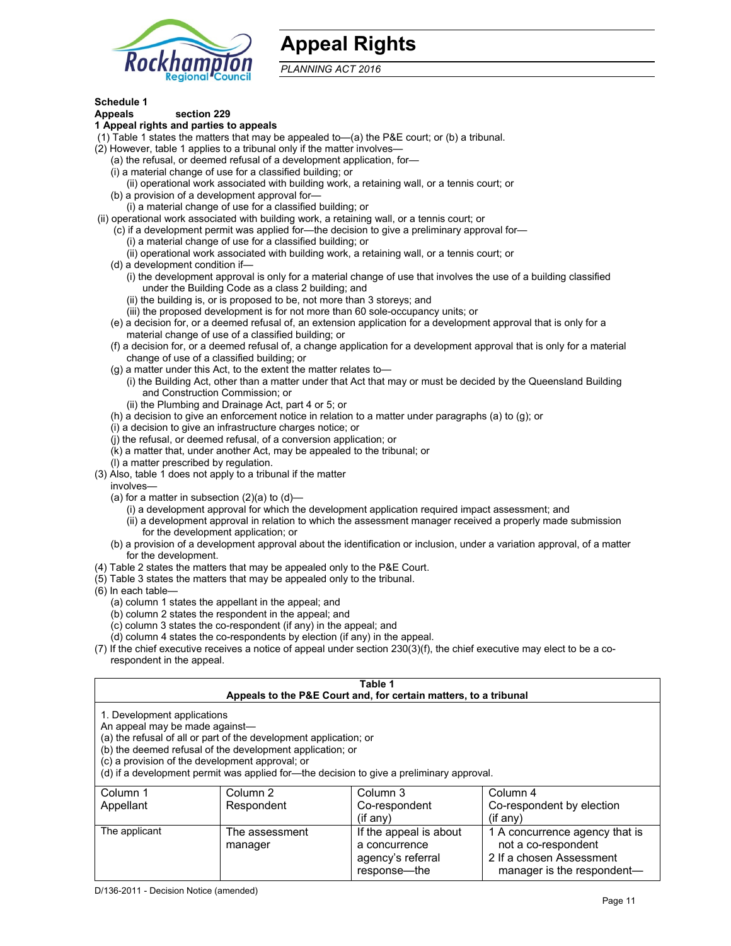

# **Appeal Rights**

*PLANNING ACT 2016*

# **Schedule 1**

#### **Appeals section 229 1 Appeal rights and parties to appeals**

- (1) Table 1 states the matters that may be appealed to—(a) the P&E court; or (b) a tribunal.
- (2) However, table 1 applies to a tribunal only if the matter involves—
	- (a) the refusal, or deemed refusal of a development application, for—
	- (i) a material change of use for a classified building; or
	- (ii) operational work associated with building work, a retaining wall, or a tennis court; or
	- (b) a provision of a development approval for—
	- (i) a material change of use for a classified building; or
- (ii) operational work associated with building work, a retaining wall, or a tennis court; or
	- (c) if a development permit was applied for—the decision to give a preliminary approval for—
		- (i) a material change of use for a classified building; or
		- (ii) operational work associated with building work, a retaining wall, or a tennis court; or
	- (d) a development condition if—
		- (i) the development approval is only for a material change of use that involves the use of a building classified under the Building Code as a class 2 building; and
		- (ii) the building is, or is proposed to be, not more than 3 storeys; and
		- (iii) the proposed development is for not more than 60 sole-occupancy units; or
	- (e) a decision for, or a deemed refusal of, an extension application for a development approval that is only for a material change of use of a classified building; or
	- (f) a decision for, or a deemed refusal of, a change application for a development approval that is only for a material change of use of a classified building; or
	- (g) a matter under this Act, to the extent the matter relates to—
		- (i) the Building Act, other than a matter under that Act that may or must be decided by the Queensland Building and Construction Commission; or
		- (ii) the Plumbing and Drainage Act, part 4 or 5; or
	- (h) a decision to give an enforcement notice in relation to a matter under paragraphs (a) to (g); or
	- (i) a decision to give an infrastructure charges notice; or
	- (j) the refusal, or deemed refusal, of a conversion application; or
	- (k) a matter that, under another Act, may be appealed to the tribunal; or
	- (l) a matter prescribed by regulation.
- (3) Also, table 1 does not apply to a tribunal if the matter
- involves—
	- (a) for a matter in subsection  $(2)(a)$  to  $(d)$ 
		- (i) a development approval for which the development application required impact assessment; and
		- (ii) a development approval in relation to which the assessment manager received a properly made submission for the development application; or
	- (b) a provision of a development approval about the identification or inclusion, under a variation approval, of a matter for the development.
- (4) Table 2 states the matters that may be appealed only to the P&E Court.
- (5) Table 3 states the matters that may be appealed only to the tribunal.
- (6) In each table—
	- (a) column 1 states the appellant in the appeal; and
	- (b) column 2 states the respondent in the appeal; and
	- (c) column 3 states the co-respondent (if any) in the appeal; and
	- (d) column 4 states the co-respondents by election (if any) in the appeal.
- (7) If the chief executive receives a notice of appeal under section 230(3)(f), the chief executive may elect to be a corespondent in the appeal.

| Table 1<br>Appeals to the P&E Court and, for certain matters, to a tribunal |                                                                                                                                                                                   |                                                                                          |                                                                                   |
|-----------------------------------------------------------------------------|-----------------------------------------------------------------------------------------------------------------------------------------------------------------------------------|------------------------------------------------------------------------------------------|-----------------------------------------------------------------------------------|
| 1. Development applications<br>An appeal may be made against-               | (a) the refusal of all or part of the development application; or<br>(b) the deemed refusal of the development application; or<br>(c) a provision of the development approval; or | (d) if a development permit was applied for-the decision to give a preliminary approval. |                                                                                   |
| Column 1                                                                    | Column 2                                                                                                                                                                          | Column 3                                                                                 | Column 4                                                                          |
| Appellant                                                                   | Respondent                                                                                                                                                                        | Co-respondent<br>$(if$ any)                                                              | Co-respondent by election<br>$(if$ any)                                           |
| The applicant                                                               | The assessment<br>manager                                                                                                                                                         | If the appeal is about<br>a concurrence<br>agency's referral                             | 1 A concurrence agency that is<br>not a co-respondent<br>2 If a chosen Assessment |

response—the

manager is the respondent-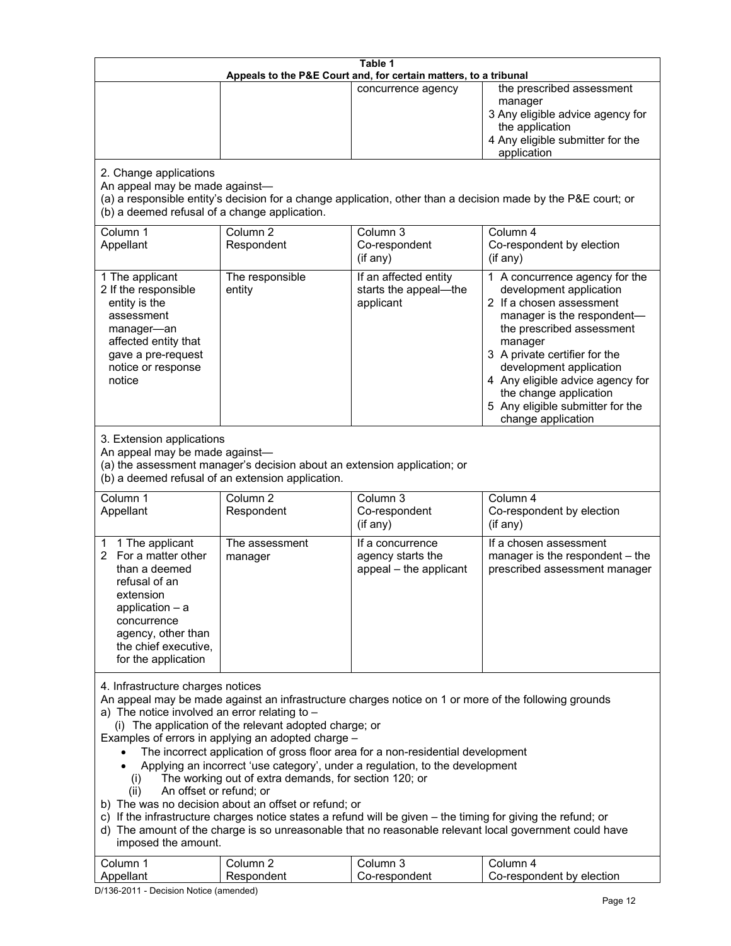| Table 1<br>Appeals to the P&E Court and, for certain matters, to a tribunal                                                                                                                                                                                                                                                                                                                                                                                                                                                                                                                                                                                                                                                                                                                                                                                                                                                                            |                                   |                                                                 |                                                                                                                                                                                                                                                                                                                                                 |  |
|--------------------------------------------------------------------------------------------------------------------------------------------------------------------------------------------------------------------------------------------------------------------------------------------------------------------------------------------------------------------------------------------------------------------------------------------------------------------------------------------------------------------------------------------------------------------------------------------------------------------------------------------------------------------------------------------------------------------------------------------------------------------------------------------------------------------------------------------------------------------------------------------------------------------------------------------------------|-----------------------------------|-----------------------------------------------------------------|-------------------------------------------------------------------------------------------------------------------------------------------------------------------------------------------------------------------------------------------------------------------------------------------------------------------------------------------------|--|
|                                                                                                                                                                                                                                                                                                                                                                                                                                                                                                                                                                                                                                                                                                                                                                                                                                                                                                                                                        |                                   | concurrence agency                                              | the prescribed assessment<br>manager<br>3 Any eligible advice agency for<br>the application<br>4 Any eligible submitter for the<br>application                                                                                                                                                                                                  |  |
| 2. Change applications<br>An appeal may be made against-<br>(a) a responsible entity's decision for a change application, other than a decision made by the P&E court; or<br>(b) a deemed refusal of a change application.                                                                                                                                                                                                                                                                                                                                                                                                                                                                                                                                                                                                                                                                                                                             |                                   |                                                                 |                                                                                                                                                                                                                                                                                                                                                 |  |
| Column 1<br>Appellant                                                                                                                                                                                                                                                                                                                                                                                                                                                                                                                                                                                                                                                                                                                                                                                                                                                                                                                                  | Column <sub>2</sub><br>Respondent | Column 3<br>Co-respondent<br>(if any)                           | Column 4<br>Co-respondent by election<br>(if any)                                                                                                                                                                                                                                                                                               |  |
| 1 The applicant<br>2 If the responsible<br>entity is the<br>assessment<br>manager-an<br>affected entity that<br>gave a pre-request<br>notice or response<br>notice                                                                                                                                                                                                                                                                                                                                                                                                                                                                                                                                                                                                                                                                                                                                                                                     | The responsible<br>entity         | If an affected entity<br>starts the appeal-the<br>applicant     | 1 A concurrence agency for the<br>development application<br>2 If a chosen assessment<br>manager is the respondent-<br>the prescribed assessment<br>manager<br>3 A private certifier for the<br>development application<br>4 Any eligible advice agency for<br>the change application<br>5 Any eligible submitter for the<br>change application |  |
| 3. Extension applications<br>An appeal may be made against-<br>(a) the assessment manager's decision about an extension application; or<br>(b) a deemed refusal of an extension application.                                                                                                                                                                                                                                                                                                                                                                                                                                                                                                                                                                                                                                                                                                                                                           |                                   |                                                                 |                                                                                                                                                                                                                                                                                                                                                 |  |
| Column 1<br>Appellant                                                                                                                                                                                                                                                                                                                                                                                                                                                                                                                                                                                                                                                                                                                                                                                                                                                                                                                                  | Column <sub>2</sub><br>Respondent | Column 3<br>Co-respondent<br>(if any)                           | Column 4<br>Co-respondent by election<br>$(if$ any)                                                                                                                                                                                                                                                                                             |  |
| 1 The applicant<br>1<br>For a matter other<br>2<br>than a deemed<br>refusal of an<br>extension<br>application $-$ a<br>concurrence<br>agency, other than<br>the chief executive,<br>for the application                                                                                                                                                                                                                                                                                                                                                                                                                                                                                                                                                                                                                                                                                                                                                | The assessment<br>manager         | If a concurrence<br>agency starts the<br>appeal - the applicant | If a chosen assessment<br>manager is the respondent - the<br>prescribed assessment manager                                                                                                                                                                                                                                                      |  |
| 4. Infrastructure charges notices<br>An appeal may be made against an infrastructure charges notice on 1 or more of the following grounds<br>a) The notice involved an error relating to $-$<br>(i) The application of the relevant adopted charge; or<br>Examples of errors in applying an adopted charge -<br>The incorrect application of gross floor area for a non-residential development<br>Applying an incorrect 'use category', under a regulation, to the development<br>The working out of extra demands, for section 120; or<br>(i)<br>An offset or refund; or<br>(ii)<br>b) The was no decision about an offset or refund; or<br>c) If the infrastructure charges notice states a refund will be given - the timing for giving the refund; or<br>d) The amount of the charge is so unreasonable that no reasonable relevant local government could have<br>imposed the amount.<br>Column 3<br>Column 1<br>Column <sub>2</sub><br>Column 4 |                                   |                                                                 |                                                                                                                                                                                                                                                                                                                                                 |  |
| Appellant                                                                                                                                                                                                                                                                                                                                                                                                                                                                                                                                                                                                                                                                                                                                                                                                                                                                                                                                              | Respondent                        | Co-respondent                                                   | Co-respondent by election                                                                                                                                                                                                                                                                                                                       |  |

D/136-2011 - Decision Notice (amended)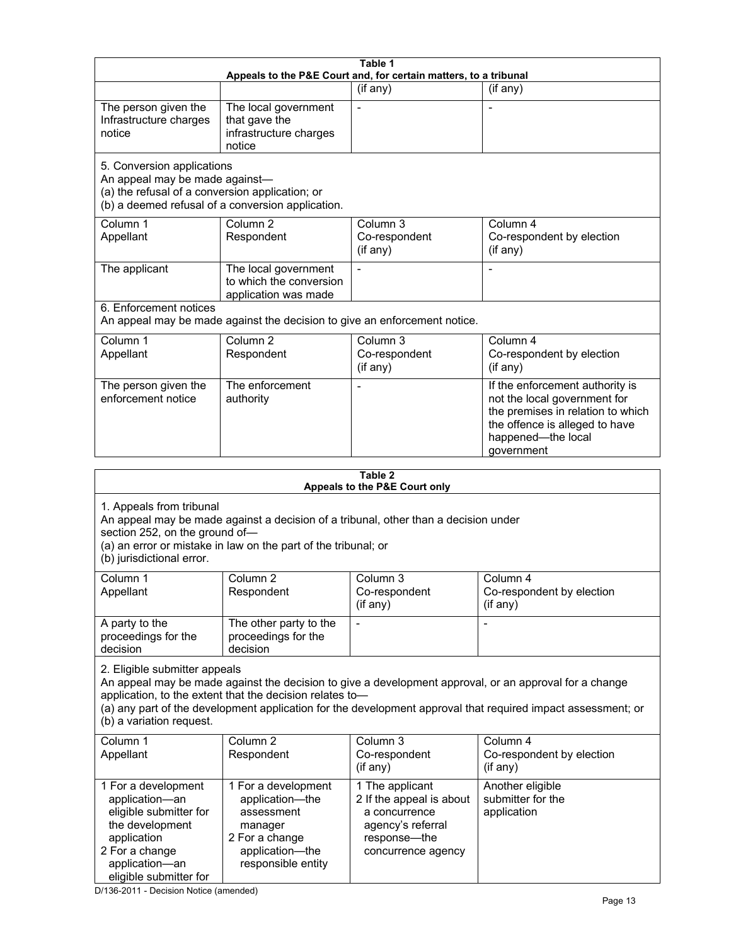| Table 1<br>Appeals to the P&E Court and, for certain matters, to a tribunal                                                                                                                                                                                                                                                                     |                                                                                                                            |                                                                                                                         |                                                                                                                                                                            |  |
|-------------------------------------------------------------------------------------------------------------------------------------------------------------------------------------------------------------------------------------------------------------------------------------------------------------------------------------------------|----------------------------------------------------------------------------------------------------------------------------|-------------------------------------------------------------------------------------------------------------------------|----------------------------------------------------------------------------------------------------------------------------------------------------------------------------|--|
|                                                                                                                                                                                                                                                                                                                                                 |                                                                                                                            | (if any)                                                                                                                | (if any)                                                                                                                                                                   |  |
| The person given the<br>Infrastructure charges<br>notice                                                                                                                                                                                                                                                                                        | The local government<br>that gave the<br>infrastructure charges<br>notice                                                  | $\blacksquare$                                                                                                          | $\overline{\phantom{a}}$                                                                                                                                                   |  |
| 5. Conversion applications<br>An appeal may be made against-<br>(a) the refusal of a conversion application; or<br>(b) a deemed refusal of a conversion application.                                                                                                                                                                            |                                                                                                                            |                                                                                                                         |                                                                                                                                                                            |  |
| Column 1<br>Appellant                                                                                                                                                                                                                                                                                                                           | Column <sub>2</sub><br>Respondent                                                                                          | Column <sub>3</sub><br>Co-respondent<br>(if any)                                                                        | Column 4<br>Co-respondent by election<br>(if any)                                                                                                                          |  |
| The applicant                                                                                                                                                                                                                                                                                                                                   | The local government<br>to which the conversion<br>application was made                                                    |                                                                                                                         |                                                                                                                                                                            |  |
| 6. Enforcement notices                                                                                                                                                                                                                                                                                                                          | An appeal may be made against the decision to give an enforcement notice.                                                  |                                                                                                                         |                                                                                                                                                                            |  |
| Column 1<br>Appellant                                                                                                                                                                                                                                                                                                                           | Column 2<br>Respondent                                                                                                     | Column 3<br>Co-respondent<br>(if any)                                                                                   | Column 4<br>Co-respondent by election<br>(if any)                                                                                                                          |  |
| The person given the<br>enforcement notice                                                                                                                                                                                                                                                                                                      | The enforcement<br>authority                                                                                               |                                                                                                                         | If the enforcement authority is<br>not the local government for<br>the premises in relation to which<br>the offence is alleged to have<br>happened-the local<br>government |  |
|                                                                                                                                                                                                                                                                                                                                                 |                                                                                                                            | Table 2                                                                                                                 |                                                                                                                                                                            |  |
|                                                                                                                                                                                                                                                                                                                                                 |                                                                                                                            | Appeals to the P&E Court only                                                                                           |                                                                                                                                                                            |  |
| 1. Appeals from tribunal<br>An appeal may be made against a decision of a tribunal, other than a decision under<br>section 252, on the ground of-<br>(a) an error or mistake in law on the part of the tribunal; or<br>(b) jurisdictional error.                                                                                                |                                                                                                                            |                                                                                                                         |                                                                                                                                                                            |  |
| Column 1<br>Appellant                                                                                                                                                                                                                                                                                                                           | Column 2<br>Respondent                                                                                                     | Column 3<br>Co-respondent<br>(if any)                                                                                   | Column 4<br>Co-respondent by election<br>(if any)                                                                                                                          |  |
| A party to the<br>proceedings for the<br>decision                                                                                                                                                                                                                                                                                               | The other party to the<br>proceedings for the<br>decision                                                                  |                                                                                                                         |                                                                                                                                                                            |  |
| 2. Eligible submitter appeals<br>An appeal may be made against the decision to give a development approval, or an approval for a change<br>application, to the extent that the decision relates to-<br>(a) any part of the development application for the development approval that required impact assessment; or<br>(b) a variation request. |                                                                                                                            |                                                                                                                         |                                                                                                                                                                            |  |
| Column 1<br>Appellant                                                                                                                                                                                                                                                                                                                           | Column <sub>2</sub><br>Respondent                                                                                          | Column 3<br>Co-respondent<br>(if any)                                                                                   | Column 4<br>Co-respondent by election<br>(if any)                                                                                                                          |  |
| 1 For a development<br>application-an<br>eligible submitter for<br>the development<br>application<br>2 For a change<br>application-an<br>eligible submitter for                                                                                                                                                                                 | 1 For a development<br>application-the<br>assessment<br>manager<br>2 For a change<br>application-the<br>responsible entity | 1 The applicant<br>2 If the appeal is about<br>a concurrence<br>agency's referral<br>response-the<br>concurrence agency | Another eligible<br>submitter for the<br>application                                                                                                                       |  |

D/136-2011 - Decision Notice (amended)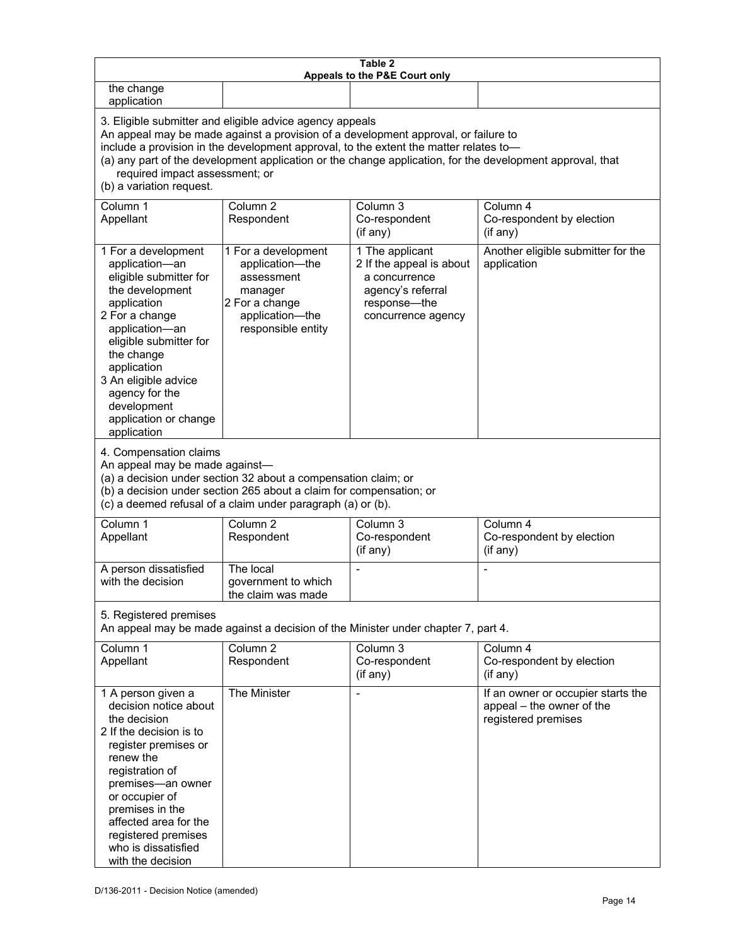| Table 2<br>Appeals to the P&E Court only                                                                                                                                                                                                                                                                                                                                                                           |                                                                                                                            |                                                                                                                         |                                                                                        |  |
|--------------------------------------------------------------------------------------------------------------------------------------------------------------------------------------------------------------------------------------------------------------------------------------------------------------------------------------------------------------------------------------------------------------------|----------------------------------------------------------------------------------------------------------------------------|-------------------------------------------------------------------------------------------------------------------------|----------------------------------------------------------------------------------------|--|
| the change<br>application                                                                                                                                                                                                                                                                                                                                                                                          |                                                                                                                            |                                                                                                                         |                                                                                        |  |
| 3. Eligible submitter and eligible advice agency appeals<br>An appeal may be made against a provision of a development approval, or failure to<br>include a provision in the development approval, to the extent the matter relates to-<br>(a) any part of the development application or the change application, for the development approval, that<br>required impact assessment; or<br>(b) a variation request. |                                                                                                                            |                                                                                                                         |                                                                                        |  |
| Column 1<br>Appellant                                                                                                                                                                                                                                                                                                                                                                                              | Column <sub>2</sub><br>Respondent                                                                                          | Column 3<br>Co-respondent<br>(if any)                                                                                   | Column 4<br>Co-respondent by election<br>(if any)                                      |  |
| 1 For a development<br>application-an<br>eligible submitter for<br>the development<br>application<br>2 For a change<br>application-an<br>eligible submitter for<br>the change<br>application<br>3 An eligible advice<br>agency for the<br>development<br>application or change<br>application                                                                                                                      | 1 For a development<br>application-the<br>assessment<br>manager<br>2 For a change<br>application-the<br>responsible entity | 1 The applicant<br>2 If the appeal is about<br>a concurrence<br>agency's referral<br>response-the<br>concurrence agency | Another eligible submitter for the<br>application                                      |  |
| 4. Compensation claims<br>An appeal may be made against-<br>(a) a decision under section 32 about a compensation claim; or<br>(b) a decision under section 265 about a claim for compensation; or<br>(c) a deemed refusal of a claim under paragraph (a) or (b).                                                                                                                                                   |                                                                                                                            |                                                                                                                         |                                                                                        |  |
| Column 1<br>Appellant                                                                                                                                                                                                                                                                                                                                                                                              | Column <sub>2</sub><br>Respondent                                                                                          | Column $3$<br>Co-respondent<br>(if any)                                                                                 | Column 4<br>Co-respondent by election<br>(if any)                                      |  |
| A person dissatisfied<br>with the decision                                                                                                                                                                                                                                                                                                                                                                         | The local<br>government to which<br>the claim was made                                                                     |                                                                                                                         |                                                                                        |  |
| 5. Registered premises<br>An appeal may be made against a decision of the Minister under chapter 7, part 4.                                                                                                                                                                                                                                                                                                        |                                                                                                                            |                                                                                                                         |                                                                                        |  |
| Column 1<br>Appellant                                                                                                                                                                                                                                                                                                                                                                                              | Column <sub>2</sub><br>Respondent                                                                                          | Column 3<br>Co-respondent<br>(if any)                                                                                   | Column 4<br>Co-respondent by election<br>(if any)                                      |  |
| 1 A person given a<br>decision notice about<br>the decision<br>2 If the decision is to<br>register premises or<br>renew the<br>registration of<br>premises-an owner<br>or occupier of<br>premises in the<br>affected area for the<br>registered premises<br>who is dissatisfied<br>with the decision                                                                                                               | The Minister                                                                                                               |                                                                                                                         | If an owner or occupier starts the<br>appeal - the owner of the<br>registered premises |  |